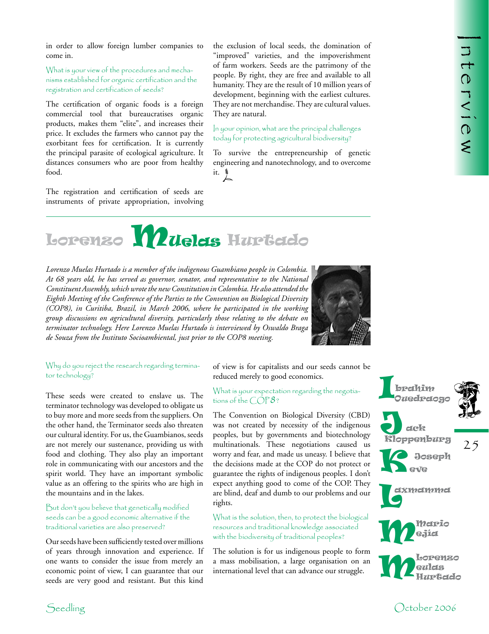**International Control** 

in order to allow foreign lumber companies to come in.

What is your view of the procedures and mechanisms established for organic certification and the registration and certification of seeds?

The certification of organic foods is a foreign commercial tool that bureaucratises organic products, makes them "elite", and increases their price. It excludes the farmers who cannot pay the exorbitant fees for certification. It is currently the principal parasite of ecological agriculture. It distances consumers who are poor from healthy food.

The registration and certification of seeds are instruments of private appropriation, involving

the exclusion of local seeds, the domination of "improved" varieties, and the impoverishment of farm workers. Seeds are the patrimony of the people. By right, they are free and available to all humanity. They are the result of 10 million years of development, beginning with the earliest cultures. They are not merchandise. They are cultural values. They are natural.

In your opinion, what are the principal challenges today for protecting agricultural biodiversity?

To survive the entrepreneurship of genetic engineering and nanotechnology, and to overcome it.  $\sum_{k=1}^{8}$ 



*Lorenzo Muelas Hurtado is a member of the indigenous Guambiano people in Colombia. At 68 years old, he has served as governor, senator, and representative to the National Constituent Assembly, which wrote the new Constitution in Colombia. He also attended the Eighth Meeting of the Conference of the Parties to the Convention on Biological Diversity (COP8), in Curitiba, Brazil, in March 2006, where he participated in the working group discussions on agricultural diversity, particularly those relating to the debate on terminator technology. Here Lorenzo Muelas Hurtado is interviewed by Oswaldo Braga de Souza from the Instituto Socioambiental, just prior to the COP8 meeting.* 



Why do you reject the research regarding terminator technology?

These seeds were created to enslave us. The terminator technology was developed to obligate us to buy more and more seeds from the suppliers. On the other hand, the Terminator seeds also threaten our cultural identity. For us, the Guambianos, seeds are not merely our sustenance, providing us with food and clothing. They also play an important role in communicating with our ancestors and the spirit world. They have an important symbolic value as an offering to the spirits who are high in the mountains and in the lakes.

But don't you believe that genetically modified seeds can be a good economic alternative if the traditional varieties are also preserved?

Our seeds have been sufficiently tested over millions of years through innovation and experience. If one wants to consider the issue from merely an economic point of view, I can guarantee that our seeds are very good and resistant. But this kind of view is for capitalists and our seeds cannot be reduced merely to good economics.

## What is your expectation regarding the negotiations of the  $\textcolor{black}{\bigcirc} \textcolor{black}{\mathcal{O}} \textcolor{black}{\mathcal{V}}$  8?

The Convention on Biological Diversity (CBD) was not created by necessity of the indigenous peoples, but by governments and biotechnology multinationals. These negotiations caused us worry and fear, and made us uneasy. I believe that the decisions made at the COP do not protect or guarantee the rights of indigenous peoples. I don't expect anything good to come of the COP. They are blind, deaf and dumb to our problems and our rights.

What is the solution, then, to protect the biological resources and traditional knowledge associated with the biodiversity of traditional peoples?

The solution is for us indigenous people to form a mass mobilisation, a large organisation on an international level that can advance our struggle.

brahim Ouedraogo ack **J**<br>Kloppenburg **Joseph** eve  $\prod_{\text{or}}$ K

25